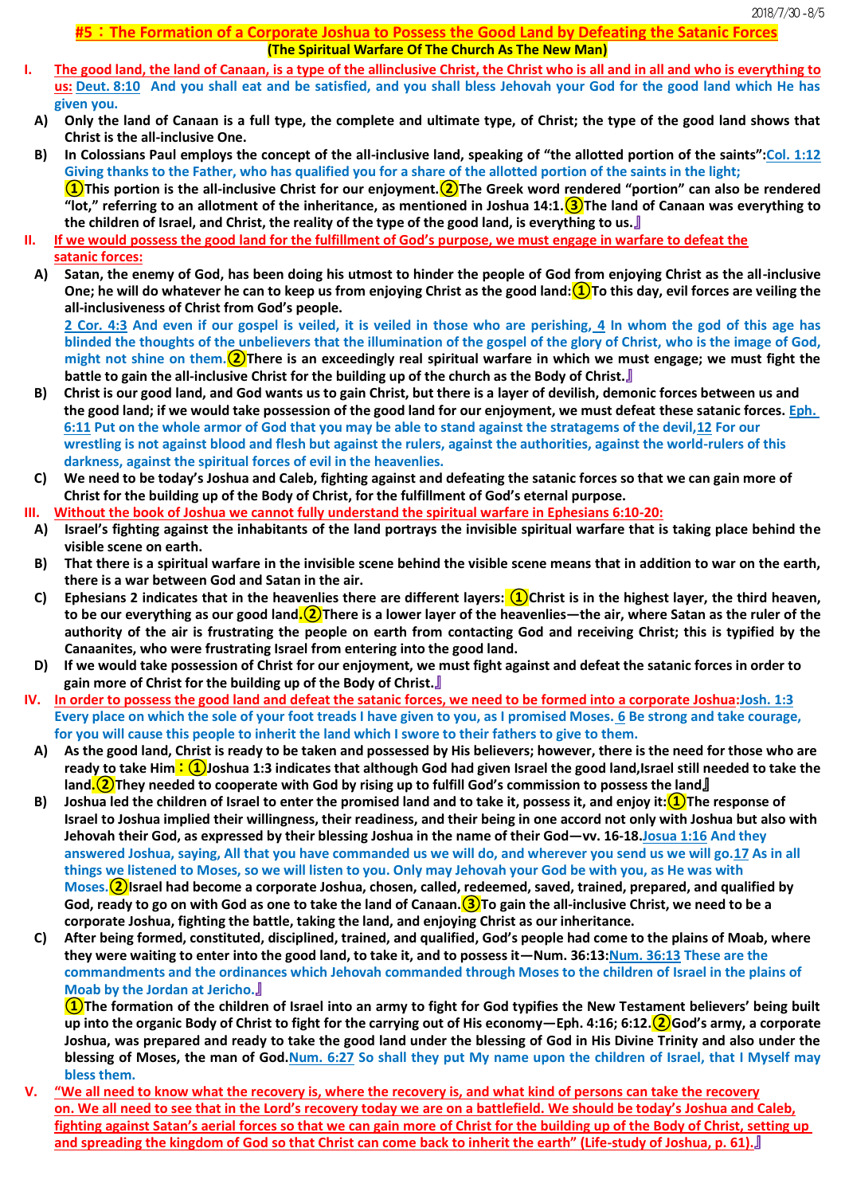**#5**:**The Formation of a Corporate Joshua to Possess the Good Land by Defeating the Satanic Forces (The Spiritual Warfare Of The Church As The New Man)**

- **I. The good land, the land of Canaan, is a type of the allinclusive Christ, the Christ who is all and in all and who is everything to us: Deut. 8:10 And you shall eat and be satisfied, and you shall bless Jehovah your God for the good land which He has given you.**
	- **A) Only the land of Canaan is a full type, the complete and ultimate type, of Christ; the type of the good land shows that Christ is the all-inclusive One.**
	- **B) In Colossians Paul employs the concept of the all-inclusive land, speaking of "the allotted portion of the saints":Col. 1:12 Giving thanks to the Father, who has qualified you for a share of the allotted portion of the saints in the light; ①This portion is the all-inclusive Christ for our enjoyment.②The Greek word rendered "portion" can also be rendered "lot," referring to an allotment of the inheritance, as mentioned in Joshua 14:1.③The land of Canaan was everything to the children of Israel, and Christ, the reality of the type of the good land, is everything to us.**』
- **II. If we would possess the good land for the fulfillment of God's purpose, we must engage in warfare to defeat the**
	- **satanic forces: A) Satan, the enemy of God, has been doing his utmost to hinder the people of God from enjoying Christ as the all-inclusive One; he will do whatever he can to keep us from enjoying Christ as the good land:①To this day, evil forces are veiling the all-inclusiveness of Christ from God's people.**

**2 Cor. 4:3 And even if our gospel is veiled, it is veiled in those who are perishing, 4 In whom the god of this age has blinded the thoughts of the unbelievers that the illumination of the gospel of the glory of Christ, who is the image of God, might not shine on them.②There is an exceedingly real spiritual warfare in which we must engage; we must fight the battle to gain the all-inclusive Christ for the building up of the church as the Body of Christ.**』

- **B) Christ is our good land, and God wants us to gain Christ, but there is a layer of devilish, demonic forces between us and the good land; if we would take possession of the good land for our enjoyment, we must defeat these satanic forces. Eph. 6:11 Put on the whole armor of God that you may be able to stand against the stratagems of the devil,12 For our wrestling is not against blood and flesh but against the rulers, against the authorities, against the world-rulers of this darkness, against the spiritual forces of evil in the heavenlies.**
- **C) We need to be today's Joshua and Caleb, fighting against and defeating the satanic forces so that we can gain more of Christ for the building up of the Body of Christ, for the fulfillment of God's eternal purpose.**
- **III. Without the book of Joshua we cannot fully understand the spiritual warfare in Ephesians 6:10-20:**
	- **A) Israel's fighting against the inhabitants of the land portrays the invisible spiritual warfare that is taking place behind the visible scene on earth.**
	- **B) That there is a spiritual warfare in the invisible scene behind the visible scene means that in addition to war on the earth, there is a war between God and Satan in the air.**
	- **C) Ephesians 2 indicates that in the heavenlies there are different layers: ①Christ is in the highest layer, the third heaven, to be our everything as our good land.②There is a lower layer of the heavenlies—the air, where Satan as the ruler of the authority of the air is frustrating the people on earth from contacting God and receiving Christ; this is typified by the Canaanites, who were frustrating Israel from entering into the good land.**
- **D) If we would take possession of Christ for our enjoyment, we must fight against and defeat the satanic forces in order to gain more of Christ for the building up of the Body of Christ.**』
- **IV. In order to possess the good land and defeat the satanic forces, we need to be formed into a corporate Joshua:Josh. 1:3 Every place on which the sole of your foot treads I have given to you, as I promised Moses. 6 Be strong and take courage, for you will cause this people to inherit the land which I swore to their fathers to give to them.**
	- **A) As the good land, Christ is ready to be taken and possessed by His believers; however, there is the need for those who are ready to take Him**:**①Joshua 1:3 indicates that although God had given Israel the good land,Israel still needed to take the land.②They needed to cooperate with God by rising up to fulfill God's commission to possess the land**』
	- **B) Joshua led the children of Israel to enter the promised land and to take it, possess it, and enjoy it:①The response of Israel to Joshua implied their willingness, their readiness, and their being in one accord not only with Joshua but also with Jehovah their God, as expressed by their blessing Joshua in the name of their God—vv. 16-18.Josua 1:16 And they answered Joshua, saying, All that you have commanded us we will do, and wherever you send us we will go.17 As in all things we listened to Moses, so we will listen to you. Only may Jehovah your God be with you, as He was with Moses.②Israel had become a corporate Joshua, chosen, called, redeemed, saved, trained, prepared, and qualified by God, ready to go on with God as one to take the land of Canaan.③To gain the all-inclusive Christ, we need to be a corporate Joshua, fighting the battle, taking the land, and enjoying Christ as our inheritance.**
	- **C) After being formed, constituted, disciplined, trained, and qualified, God's people had come to the plains of Moab, where they were waiting to enter into the good land, to take it, and to possess it—Num. 36:13:Num. 36:13 These are the commandments and the ordinances which Jehovah commanded through Moses to the children of Israel in the plains of Moab by the Jordan at Jericho.**』

**①The formation of the children of Israel into an army to fight for God typifies the New Testament believers' being built up into the organic Body of Christ to fight for the carrying out of His economy—Eph. 4:16; 6:12.②God's army, a corporate Joshua, was prepared and ready to take the good land under the blessing of God in His Divine Trinity and also under the blessing of Moses, the man of God.Num. 6:27 So shall they put My name upon the children of Israel, that I Myself may bless them.**

**V. "We all need to know what the recovery is, where the recovery is, and what kind of persons can take the recovery on. We all need to see that in the Lord's recovery today we are on a battlefield. We should be today's Joshua and Caleb, fighting against Satan's aerial forces so that we can gain more of Christ for the building up of the Body of Christ, setting up and spreading the kingdom of God so that Christ can come back to inherit the earth" (Life-study of Joshua, p. 61).**』